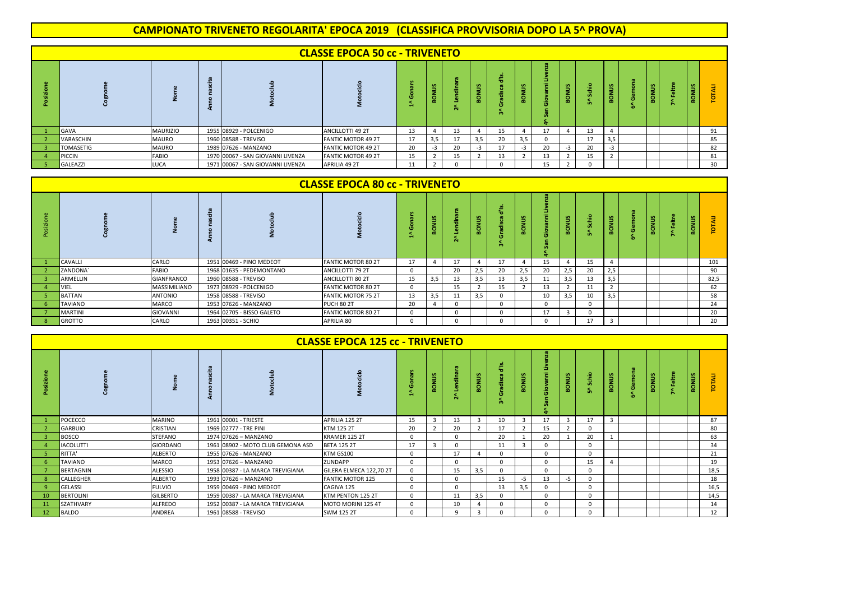## **CAMPIONATO TRIVENETO REGOLARITA' EPOCA 2019 (CLASSIFICA PROVVISORIA DOPO LA 5^ PROVA)**

|                  |                 |                                   | <b>CLASSE EPOCA 50 cc - TRIVENETO</b> |    |                       |    |            |                      |                          |                   |              |     |                    |         |              |                      |    |
|------------------|-----------------|-----------------------------------|---------------------------------------|----|-----------------------|----|------------|----------------------|--------------------------|-------------------|--------------|-----|--------------------|---------|--------------|----------------------|----|
|                  |                 |                                   |                                       |    | $\omega$<br><b>RO</b> | w  | m<br>BONU: | $\omega$<br>73<br>m. |                          | ÷<br>J,<br>G<br>÷ | <b>BONUS</b> | .Ω. | <b>BONUS</b>       | ō<br>Ф. | <b>BONUS</b> | <b>SA</b><br>훙<br>m. |    |
| <b>GAVA</b>      | <b>MAURIZIO</b> | 1955 08929 - POLCENIGO            | ANCILLOTTI 49 2T                      | 13 | $\overline{4}$        | 13 |            | 15                   | $\overline{4}$           | 17                |              | 13  |                    |         |              |                      | 91 |
| VARASCHIN        | MAURO           | 1960 08588 - TREVISO              | <b>FANTIC MOTOR 49 2T</b>             | 17 | 3,5                   | 17 | 3,5        | 20                   | 3,5                      | 0                 |              | 17  | 3,5                |         |              |                      | 85 |
| <b>TOMASETIG</b> | MAURO           | 1989 07626 - MANZANO              | FANTIC MOTOR 49 2T                    | 20 | $-3$                  | 20 | $-3$       | 17                   | $-3$                     | 20                | $-3$         | 20  | $-3$               |         |              |                      | 82 |
| PICCIN           | <b>FABIO</b>    | 1970 00067 - SAN GIOVANNI LIVENZA | <b>FANTIC MOTOR 49 2T</b>             | 15 | $\overline{2}$        | 15 |            | 13                   | $\overline{\phantom{a}}$ | 13                |              | 15  | $\mathbf{\hat{z}}$ |         |              |                      | 81 |
| GALEAZZI         | LUCA            | 1971 00067 - SAN GIOVANNI LIVENZA | APRILIA 49 2T                         | 11 | $\mathcal{D}$         |    |            |                      |                          | 15                |              |     |                    |         |              |                      | 30 |

|           |                |                   |                           | <b>CLASSE EPOCA 80 cc - TRIVENETO</b> |    |                   |                 |                    |             |     |             |              |         |                         |                |                   |              |      |
|-----------|----------------|-------------------|---------------------------|---------------------------------------|----|-------------------|-----------------|--------------------|-------------|-----|-------------|--------------|---------|-------------------------|----------------|-------------------|--------------|------|
| posizione |                |                   |                           |                                       |    | m<br>э<br>롱<br>m. | 带<br><b>COL</b> | <b>SA</b><br>BONU! | -<br>ъ<br>÷ |     | $\sim$<br>ō | s.<br>Š<br>m | 흞<br>ın | <b>BONUS</b>            | ة<br>Gem<br>-a | <b>S</b><br>BONUS | <b>BONUS</b> |      |
|           | CAVALLI        | CARLO             | 1951 00469 - PINO MEDEOT  | <b>FANTIC MOTOR 80 2T</b>             | 17 | $\Delta$          | 17              |                    | 17          |     | 15          |              | 15      | $\overline{a}$          |                |                   |              | 101  |
|           | ZANDONA'       | <b>FABIO</b>      | 1968 01635 - PEDEMONTANO  | ANCILLOTTI 79 2T                      |    |                   | 20              | 2,5                | 20          |     | 20          | 2,5          | 20      | 2,5                     |                |                   |              | 90   |
|           | ARMELLIN       | <b>GIANFRANCO</b> | 1960 08588 - TREVISO      | ANCILLOTTI 80 2T                      | 15 | 3,5               | 13              | 3,5                | 13          | 3,5 |             | 3,5          | 13      | 3,5                     |                |                   |              | 82,5 |
|           | VIEL           | MASSIMILIANO      | 1973 08929 - POLCENIGO    | <b>FANTIC MOTOR 80 2T</b>             |    |                   | 15              |                    | 15          |     | 13          |              |         | $\overline{2}$          |                |                   |              | 62   |
|           | <b>BATTAN</b>  | <b>ANTONIO</b>    | 1958 08588 - TREVISO      | <b>FANTIC MOTOR 75 2T</b>             | 13 | 3,5               |                 | 3,5                |             |     | 10          |              | 10      | 3,5                     |                |                   |              | 58   |
|           | TAVIANO        | <b>MARCO</b>      | 1953 07626 - MANZANO      | <b>PUCH 80 2T</b>                     | 20 |                   |                 |                    | n           |     | U           |              |         |                         |                |                   |              | 24   |
|           | <b>MARTINI</b> | <b>GIOVANNI</b>   | 1964 02705 - BISSO GALETO | FANTIC MOTOR 80 2T                    |    |                   |                 |                    | n           |     |             |              |         |                         |                |                   |              | 20   |
|           | <b>GROTTO</b>  | CARLO             | 1963 00351 - SCHIO        | APRILIA 80                            |    |                   |                 |                    | 0           |     |             |              | 17      | $\overline{\mathbf{3}}$ |                |                   |              | 20   |

|    |                  |                 |                                   | <b>CLASSE EPOCA 125 cc - TRIVENETO</b> |          |      |    |              |              |                        |              |              |          |              |       |       |   |        |      |
|----|------------------|-----------------|-----------------------------------|----------------------------------------|----------|------|----|--------------|--------------|------------------------|--------------|--------------|----------|--------------|-------|-------|---|--------|------|
|    |                  |                 |                                   |                                        |          | ONUS | 듬  | <b>BONUS</b> | 쁣<br>å<br>ã. | <b>Sinn</b><br>$\circ$ | Έ<br>ïō<br>u | <b>BONUS</b> | 종        | <b>BONUS</b> | Gemor | BONUS | 훔 | ട<br>흥 | ą    |
|    | POCECCO          | <b>MARINO</b>   | 1961 00001 - TRIESTE              | APRILIA 125 2T                         | 15       |      | 13 |              | 10           |                        | 17           |              | 17       |              |       |       |   |        | 87   |
|    | GARBUIO          | CRISTIAN        | 1969 02777 - TRE PINI             | KTM 125 2T                             | 20       |      | 20 |              | 17           |                        | 15           |              | $\Omega$ |              |       |       |   |        | 80   |
|    | <b>BOSCO</b>     | STEFANO         | 1974 07626 - MANZANO              | KRAMER 125 2T                          |          |      |    |              | 20           |                        | 20           |              | 20       |              |       |       |   |        | 63   |
|    | <b>IACOLUTTI</b> | <b>GIORDANO</b> | 1961 08902 - MOTO CLUB GEMONA ASD | <b>BETA 125 2T</b>                     | 17       |      |    |              | 11           |                        |              |              | $\Omega$ |              |       |       |   |        | 34   |
|    | RITTA'           | ALBERTO         | 1955 07626 - MANZANO              | KTM GS100                              | 0        |      | 17 |              | 0            |                        | $\Omega$     |              | $\Omega$ |              |       |       |   |        | 21   |
|    | TAVIANO          | <b>MARCO</b>    | 1953 07626 - MANZANO              | ZUNDAPP                                |          |      |    |              | $\Omega$     |                        | $\Omega$     |              | 15       |              |       |       |   |        | 19   |
|    | <b>BERTAGNIN</b> | <b>ALESSIO</b>  | 1958 00387 - LA MARCA TREVIGIANA  | GILERA ELMECA 122,70 2T                |          |      | 15 | 3,5          | 0            |                        | $\Omega$     |              | $\Omega$ |              |       |       |   |        | 18,5 |
|    | CALLEGHER        | ALBERTO         | 1993 07626 - MANZANO              | <b>FANTIC MOTOR 125</b>                |          |      |    |              | 15           | -5                     | 13           | -5           | $\Omega$ |              |       |       |   |        | 18   |
|    | <b>GELASSI</b>   | <b>FULVIO</b>   | 1959 00469 - PINO MEDEOT          | CAGIVA 125                             |          |      |    |              | 13           | 3,5                    | $\Omega$     |              | $\Omega$ |              |       |       |   |        | 16,5 |
| 10 | <b>BERTOLINI</b> | <b>GILBERTO</b> | 1959 00387 - LA MARCA TREVIGIANA  | KTM PENTON 125 2T                      | 0        |      | 11 | 3,5          | 0            |                        | $\Omega$     |              | $\Omega$ |              |       |       |   |        | 14,5 |
|    | SZATHVARY        | ALFREDO         | 1952 00387 - LA MARCA TREVIGIANA  | MOTO MORINI 125 4T                     |          |      | 10 |              | $\Omega$     |                        |              |              | $\Omega$ |              |       |       |   |        | 14   |
| 12 | <b>BALDO</b>     | ANDREA          | 1961 08588 - TREVISO              | <b>SWM 125 2T</b>                      | $\Omega$ |      | 9  |              | $\Omega$     |                        |              |              | $\Omega$ |              |       |       |   |        | 12   |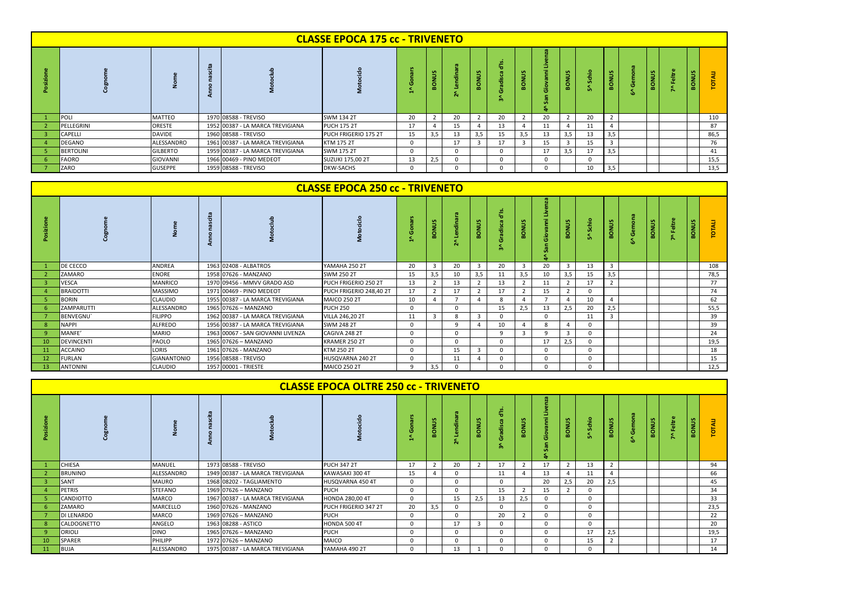|                  |                 |                                  | <b>CLASSE EPOCA 175 cc - TRIVENETO</b> |    |                |          |              |                   |     |    |     |          |              |           |         |              |      |
|------------------|-----------------|----------------------------------|----------------------------------------|----|----------------|----------|--------------|-------------------|-----|----|-----|----------|--------------|-----------|---------|--------------|------|
|                  |                 |                                  |                                        |    | ONUS           | <b>A</b> | <b>BONUS</b> | ഇ<br>÷<br>o<br>m. | š   |    |     | 흠        | <b>BONUS</b> | <b>SA</b> | 휻<br>к. | <b>BONUS</b> |      |
| POLI             | <b>MATTEO</b>   | 1970 08588 - TREVISO             | SWM 134 2T                             | 20 | $\overline{2}$ | 20       |              | 20                |     | 20 |     | 20       |              |           |         |              | 110  |
| PELLEGRINI       | <b>ORESTE</b>   | 1952 00387 - LA MARCA TREVIGIANA | <b>PUCH 175 2T</b>                     | 17 |                |          |              |                   |     | 11 |     | 11       |              |           |         |              | 87   |
| CAPELLI          | <b>DAVIDE</b>   | 1960 08588 - TREVISO             | PUCH FRIGERIO 175 2T                   | 15 | 3,5            | 13       | 3,5          | 15                | 3,5 | 13 | 3,5 | 13       | 3,5          |           |         |              | 86,5 |
| DEGANO           | ALESSANDRO      | 1961 00387 - LA MARCA TREVIGIANA | KTM 175 2T                             |    |                | 17       |              |                   |     | 15 |     | 15       | 3            |           |         |              | 76   |
| <b>BERTOLINI</b> | <b>GILBERTO</b> | 1959 00387 - LA MARCA TREVIGIANA | SWM 175 2T                             |    |                |          |              | n                 |     | 17 | 3,5 | 17       | 3,5          |           |         |              | 41   |
| <b>FAORO</b>     | <b>GIOVANNI</b> | 1966 00469 - PINO MEDEOT         | <b>SUZUKI 175,00 2T</b>                | 13 | 2,5            |          |              | $\Omega$          |     |    |     | $\Omega$ |              |           |         |              | 15,5 |
| ZARO             | <b>GUSEPPE</b>  | 1959 08588 - TREVISO             | <b>DKW-SACHS</b>                       |    |                |          |              |                   |     |    |     | 10       | 3,5          |           |         |              | 13,5 |

|           |                   |                    |                                   | <b>CLASSE EPOCA 250 cc - TRIVENETO</b> |          |                         |    |                |                             |                |              |                       |          |                  |   |                                     |             |              |      |
|-----------|-------------------|--------------------|-----------------------------------|----------------------------------------|----------|-------------------------|----|----------------|-----------------------------|----------------|--------------|-----------------------|----------|------------------|---|-------------------------------------|-------------|--------------|------|
| Posizione |                   |                    |                                   |                                        |          | S<br><b>NO8</b>         |    | ട്ട<br>ings    | غ"<br>g<br>radiso<br>ø<br>m | చి<br>종        |              | v.<br>E<br><b>SON</b> | Schio    | ്ട<br><b>BON</b> | o | <b>SA</b><br>э<br>종<br>$\mathbf{m}$ | eltre<br>ь. | <b>BONUS</b> |      |
|           | DE CECCO          | <b>ANDREA</b>      | 1963 02408 - ALBATROS             | YAMAHA 250 2T                          | 20       | $\overline{\mathbf{3}}$ | 20 | $\mathbf{3}$   | 20                          | $\overline{3}$ | 20           | $\mathbf{z}$          | 13       | 3                |   |                                     |             |              | 108  |
|           | ZAMARO            | <b>ENORE</b>       | 1958 07626 - MANZANO              | SWM 250 2T                             | 15       | 3,5                     | 10 | 3,5            | 11                          | 3,5            | 10           | 3,5                   | 15       | 3,5              |   |                                     |             |              | 78,5 |
|           | <b>VESCA</b>      | <b>MANRICO</b>     | 1970 09456 - MMVV GRADO ASD       | PUCH FRIGERIO 250 2T                   | 13       | $\overline{2}$          | 13 | $\overline{2}$ | 13                          |                | 11           |                       | 17       |                  |   |                                     |             |              | 77   |
|           | <b>BRAIDOTTI</b>  | <b>MASSIMO</b>     | 1971 00469 - PINO MEDEOT          | PUCH FRIGERIO 248,40 2T                | 17       | 2                       | 17 |                | 17                          |                | 15           |                       | 0        |                  |   |                                     |             |              | 74   |
|           | <b>BORIN</b>      | <b>CLAUDIO</b>     | 1955 00387 - LA MARCA TREVIGIANA  | <b>MAICO 250 2T</b>                    | 10       | $\overline{a}$          |    | 4              | 8                           |                |              |                       | 10       |                  |   |                                     |             |              | 62   |
|           | ZAMPARUTTI        | ALESSANDRO         | 1965 07626 - MANZANO              | <b>PUCH 250</b>                        | $\Omega$ |                         |    |                | 15                          | 2,5            | 13           | 2,5                   | 20       | 2,5              |   |                                     |             |              | 55,5 |
|           | <b>BENVEGNU</b>   | <b>FILIPPO</b>     | 1962 00387 - LA MARCA TREVIGIANA  | <b>VILLA 246,20 2T</b>                 | 11       | $\overline{3}$          |    | 3              | 0                           |                |              |                       | 11       |                  |   |                                     |             |              | 39   |
| -8        | <b>NAPPI</b>      | <b>ALFREDO</b>     | 1956 00387 - LA MARCA TREVIGIANA  | <b>SWM 248 2T</b>                      | O        |                         |    | $\Delta$       | 10                          | $\overline{4}$ | $\mathbf{R}$ |                       | 0        |                  |   |                                     |             |              | 39   |
|           | MANFE'            | <b>MARIO</b>       | 1963 00067 - SAN GIOVANNI LIVENZA | CAGIVA 248 2T                          | O        |                         |    |                | q                           |                |              | 3                     | $\Omega$ |                  |   |                                     |             |              | 24   |
| 10        | <b>DEVINCENTI</b> | PAOLO              | 1965 07626 - MANZANO              | KRAMER 250 2T                          | $\Omega$ |                         |    |                | $\Omega$                    |                | 17           | 2,5                   | $\Omega$ |                  |   |                                     |             |              | 19,5 |
| 11        | <b>ACCAINO</b>    | LORIS              | 1961 07626 - MANZANO              | KTM 250 2T                             | O        |                         | 15 | $\mathbf{3}$   | 0                           |                |              |                       | $\Omega$ |                  |   |                                     |             |              | 18   |
| 12        | <b>FURLAN</b>     | <b>GIANANTONIO</b> | 1956 08588 - TREVISO              | HUSQVARNA 240 2T                       | O        |                         | 11 |                | $\Omega$                    |                |              |                       | $\Omega$ |                  |   |                                     |             |              | 15   |
| 13        | <b>ANTONINI</b>   | <b>CLAUDIO</b>     | 1957 00001 - TRIESTE              | <b>MAICO 250 2T</b>                    | a        | 3,5                     |    |                | $\Omega$                    |                |              |                       | $\Omega$ |                  |   |                                     |             |              | 12,5 |

|     |                |                |                                  | <b>CLASSE EPOCA OLTRE 250 cc - TRIVENETO</b> |    |                |    |              |             |     |          |      |        |                |                     |                   |              |      |
|-----|----------------|----------------|----------------------------------|----------------------------------------------|----|----------------|----|--------------|-------------|-----|----------|------|--------|----------------|---------------------|-------------------|--------------|------|
|     |                |                |                                  |                                              |    | 홍              |    | <b>BONUS</b> | ъ<br>÷      |     |          | ONUS | 흫<br>m | <b>BONUS</b>   | ō<br>$\overline{1}$ | <b>S</b><br>BONUS | <b>BONUS</b> |      |
|     | CHIESA         | MANUEL         | 1973 08588 - TREVISO             | <b>PUCH 347 2T</b>                           | 17 | $\overline{2}$ | 20 |              | 17          |     |          |      | 13     | $\overline{2}$ |                     |                   |              | 94   |
|     | <b>BRUNINO</b> | ALESSANDRO     | 1949 00387 - LA MARCA TREVIGIANA | KAWASAKI 300 4T                              | 15 | 4              |    |              | 11          |     | 13       |      | 11     | $\overline{a}$ |                     |                   |              | 66   |
| -3  | SANT           | <b>MAURO</b>   | 1968 08202 - TAGLIAMENTO         | HUSQVARNA 450 4T                             |    |                |    |              | $\mathbf 0$ |     | 20       | 2,5  | 20     | 2,5            |                     |                   |              | 45   |
|     | <b>PETRIS</b>  | <b>STEFANO</b> | 1969 07626 - MANZANO             | <b>PUCH</b>                                  |    |                |    |              | 15          |     | 15       |      |        |                |                     |                   |              | 34   |
|     | CANDIOTTO      | <b>MARCO</b>   | 1967 00387 - LA MARCA TREVIGIANA | HONDA 280,00 4T                              |    |                | 15 | 2,5          | 13          | 2,5 | 0        |      |        |                |                     |                   |              | 33   |
|     | ZAMARO         | MARCELLO       | 1960 07626 - MANZANO             | PUCH FRIGERIO 347 2T                         | 20 | 3,5            |    |              | $\mathbf 0$ |     | $\Omega$ |      |        |                |                     |                   |              | 23,5 |
|     | DI LENARDO     | <b>MARCO</b>   | 1969 07626 - MANZANO             | <b>PUCH</b>                                  |    |                |    |              | 20          |     | $\Omega$ |      |        |                |                     |                   |              | 22   |
| -8  | CALDOGNETTO    | ANGELO         | 1963 08288 - ASTICO              | HONDA 500 4T                                 |    |                | 17 | 3            | $\Omega$    |     | 0        |      |        |                |                     |                   |              | 20   |
| -9  | <b>ORIOLI</b>  | <b>DINO</b>    | 1965 07626 - MANZANO             | <b>PUCH</b>                                  |    |                |    |              | $\Omega$    |     | $\Omega$ |      | 17     | 2,5            |                     |                   |              | 19,5 |
| 10  | SPARER         | PHILIPP        | 1972 07626 - MANZANO             | MAICO                                        |    |                |    |              | $\Omega$    |     | 0        |      | 15     | 2              |                     |                   |              | 17   |
| -11 | <b>BUJA</b>    | ALESSANDRO     | 1975 00387 - LA MARCA TREVIGIANA | YAMAHA 490 2T                                |    |                | 13 |              |             |     |          |      |        |                |                     |                   |              | 14   |